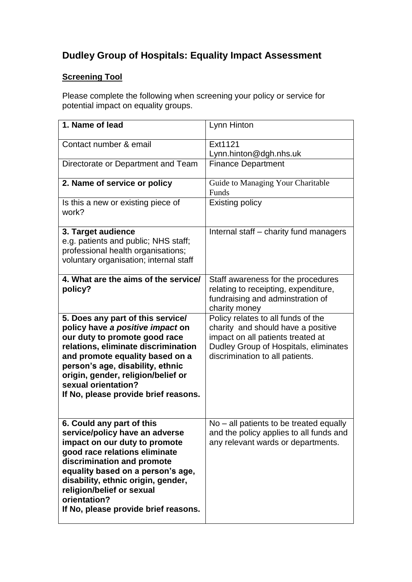## **Dudley Group of Hospitals: Equality Impact Assessment**

## **Screening Tool**

Please complete the following when screening your policy or service for potential impact on equality groups.

| 1. Name of lead                                             | Lynn Hinton                                                                |
|-------------------------------------------------------------|----------------------------------------------------------------------------|
|                                                             |                                                                            |
| Contact number & email                                      | Ext1121                                                                    |
|                                                             | Lynn.hinton@dgh.nhs.uk                                                     |
| Directorate or Department and Team                          | <b>Finance Department</b>                                                  |
|                                                             |                                                                            |
| 2. Name of service or policy                                | Guide to Managing Your Charitable                                          |
|                                                             | Funds                                                                      |
| Is this a new or existing piece of<br>work?                 | <b>Existing policy</b>                                                     |
|                                                             |                                                                            |
| 3. Target audience                                          | Internal staff - charity fund managers                                     |
| e.g. patients and public; NHS staff;                        |                                                                            |
| professional health organisations;                          |                                                                            |
| voluntary organisation; internal staff                      |                                                                            |
|                                                             |                                                                            |
| 4. What are the aims of the service/<br>policy?             | Staff awareness for the procedures<br>relating to receipting, expenditure, |
|                                                             | fundraising and adminstration of                                           |
|                                                             | charity money                                                              |
| 5. Does any part of this service/                           | Policy relates to all funds of the                                         |
| policy have a positive impact on                            | charity and should have a positive                                         |
| our duty to promote good race                               | impact on all patients treated at                                          |
| relations, eliminate discrimination                         | Dudley Group of Hospitals, eliminates                                      |
| and promote equality based on a                             | discrimination to all patients.                                            |
| person's age, disability, ethnic                            |                                                                            |
| origin, gender, religion/belief or<br>sexual orientation?   |                                                                            |
| If No, please provide brief reasons.                        |                                                                            |
|                                                             |                                                                            |
|                                                             |                                                                            |
| 6. Could any part of this                                   | $No$ – all patients to be treated equally                                  |
| service/policy have an adverse                              | and the policy applies to all funds and                                    |
| impact on our duty to promote                               | any relevant wards or departments.                                         |
| good race relations eliminate<br>discrimination and promote |                                                                            |
| equality based on a person's age,                           |                                                                            |
| disability, ethnic origin, gender,                          |                                                                            |
| religion/belief or sexual                                   |                                                                            |
| orientation?                                                |                                                                            |
| If No, please provide brief reasons.                        |                                                                            |
|                                                             |                                                                            |